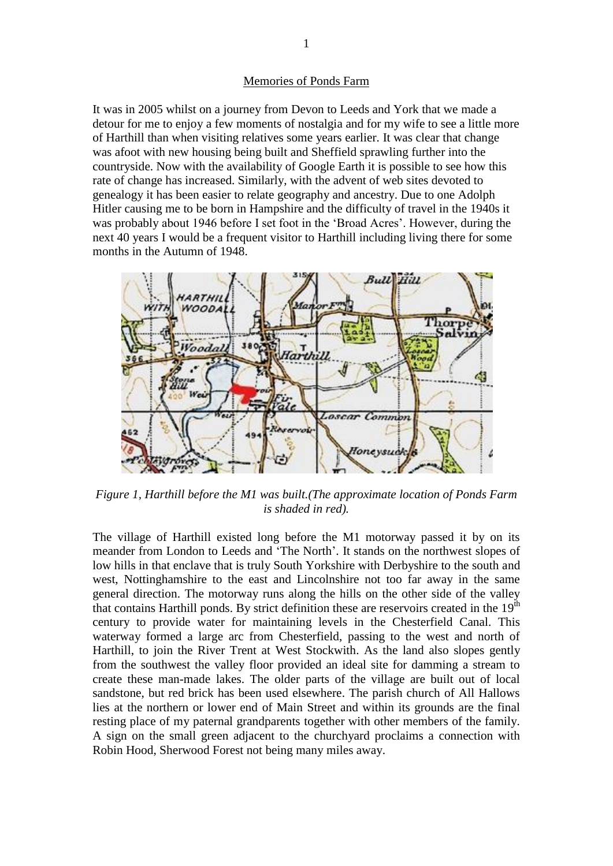## Memories of Ponds Farm

It was in 2005 whilst on a journey from Devon to Leeds and York that we made a detour for me to enjoy a few moments of nostalgia and for my wife to see a little more of Harthill than when visiting relatives some years earlier. It was clear that change was afoot with new housing being built and Sheffield sprawling further into the countryside. Now with the availability of Google Earth it is possible to see how this rate of change has increased. Similarly, with the advent of web sites devoted to genealogy it has been easier to relate geography and ancestry. Due to one Adolph Hitler causing me to be born in Hampshire and the difficulty of travel in the 1940s it was probably about 1946 before I set foot in the 'Broad Acres'. However, during the next 40 years I would be a frequent visitor to Harthill including living there for some months in the Autumn of 1948.



*Figure 1, Harthill before the M1 was built.(The approximate location of Ponds Farm is shaded in red).*

The village of Harthill existed long before the M1 motorway passed it by on its meander from London to Leeds and 'The North'. It stands on the northwest slopes of low hills in that enclave that is truly South Yorkshire with Derbyshire to the south and west, Nottinghamshire to the east and Lincolnshire not too far away in the same general direction. The motorway runs along the hills on the other side of the valley that contains Harthill ponds. By strict definition these are reservoirs created in the  $19<sup>th</sup>$ century to provide water for maintaining levels in the Chesterfield Canal. This waterway formed a large arc from Chesterfield, passing to the west and north of Harthill, to join the River Trent at West Stockwith. As the land also slopes gently from the southwest the valley floor provided an ideal site for damming a stream to create these man-made lakes. The older parts of the village are built out of local sandstone, but red brick has been used elsewhere. The parish church of All Hallows lies at the northern or lower end of Main Street and within its grounds are the final resting place of my paternal grandparents together with other members of the family. A sign on the small green adjacent to the churchyard proclaims a connection with Robin Hood, Sherwood Forest not being many miles away.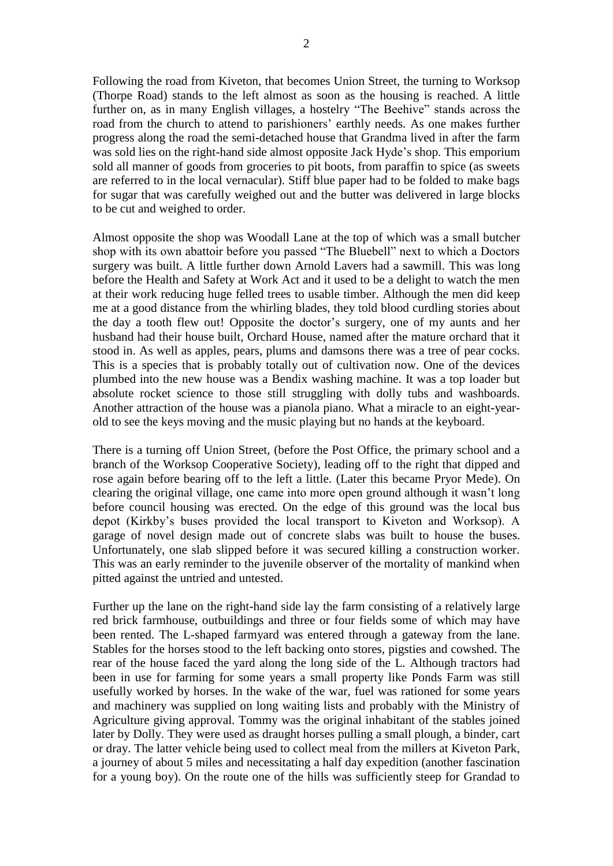Following the road from Kiveton, that becomes Union Street, the turning to Worksop (Thorpe Road) stands to the left almost as soon as the housing is reached. A little further on, as in many English villages, a hostelry "The Beehive" stands across the road from the church to attend to parishioners' earthly needs. As one makes further progress along the road the semi-detached house that Grandma lived in after the farm was sold lies on the right-hand side almost opposite Jack Hyde's shop. This emporium sold all manner of goods from groceries to pit boots, from paraffin to spice (as sweets are referred to in the local vernacular). Stiff blue paper had to be folded to make bags for sugar that was carefully weighed out and the butter was delivered in large blocks to be cut and weighed to order.

Almost opposite the shop was Woodall Lane at the top of which was a small butcher shop with its own abattoir before you passed "The Bluebell" next to which a Doctors surgery was built. A little further down Arnold Lavers had a sawmill. This was long before the Health and Safety at Work Act and it used to be a delight to watch the men at their work reducing huge felled trees to usable timber. Although the men did keep me at a good distance from the whirling blades, they told blood curdling stories about the day a tooth flew out! Opposite the doctor's surgery, one of my aunts and her husband had their house built, Orchard House, named after the mature orchard that it stood in. As well as apples, pears, plums and damsons there was a tree of pear cocks. This is a species that is probably totally out of cultivation now. One of the devices plumbed into the new house was a Bendix washing machine. It was a top loader but absolute rocket science to those still struggling with dolly tubs and washboards. Another attraction of the house was a pianola piano. What a miracle to an eight-yearold to see the keys moving and the music playing but no hands at the keyboard.

There is a turning off Union Street, (before the Post Office, the primary school and a branch of the Worksop Cooperative Society), leading off to the right that dipped and rose again before bearing off to the left a little. (Later this became Pryor Mede). On clearing the original village, one came into more open ground although it wasn't long before council housing was erected. On the edge of this ground was the local bus depot (Kirkby's buses provided the local transport to Kiveton and Worksop). A garage of novel design made out of concrete slabs was built to house the buses. Unfortunately, one slab slipped before it was secured killing a construction worker. This was an early reminder to the juvenile observer of the mortality of mankind when pitted against the untried and untested.

Further up the lane on the right-hand side lay the farm consisting of a relatively large red brick farmhouse, outbuildings and three or four fields some of which may have been rented. The L-shaped farmyard was entered through a gateway from the lane. Stables for the horses stood to the left backing onto stores, pigsties and cowshed. The rear of the house faced the yard along the long side of the L. Although tractors had been in use for farming for some years a small property like Ponds Farm was still usefully worked by horses. In the wake of the war, fuel was rationed for some years and machinery was supplied on long waiting lists and probably with the Ministry of Agriculture giving approval. Tommy was the original inhabitant of the stables joined later by Dolly. They were used as draught horses pulling a small plough, a binder, cart or dray. The latter vehicle being used to collect meal from the millers at Kiveton Park, a journey of about 5 miles and necessitating a half day expedition (another fascination for a young boy). On the route one of the hills was sufficiently steep for Grandad to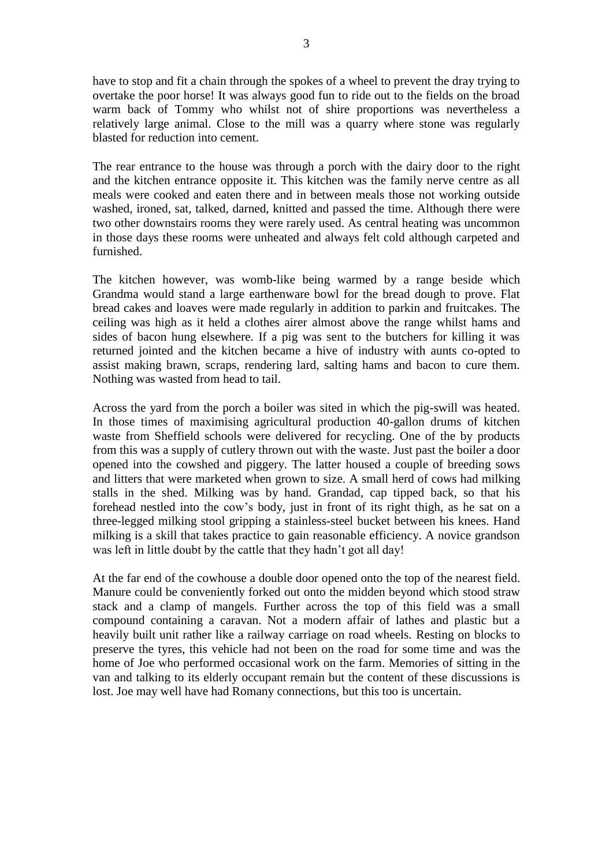have to stop and fit a chain through the spokes of a wheel to prevent the dray trying to overtake the poor horse! It was always good fun to ride out to the fields on the broad warm back of Tommy who whilst not of shire proportions was nevertheless a relatively large animal. Close to the mill was a quarry where stone was regularly blasted for reduction into cement.

The rear entrance to the house was through a porch with the dairy door to the right and the kitchen entrance opposite it. This kitchen was the family nerve centre as all meals were cooked and eaten there and in between meals those not working outside washed, ironed, sat, talked, darned, knitted and passed the time. Although there were two other downstairs rooms they were rarely used. As central heating was uncommon in those days these rooms were unheated and always felt cold although carpeted and furnished.

The kitchen however, was womb-like being warmed by a range beside which Grandma would stand a large earthenware bowl for the bread dough to prove. Flat bread cakes and loaves were made regularly in addition to parkin and fruitcakes. The ceiling was high as it held a clothes airer almost above the range whilst hams and sides of bacon hung elsewhere. If a pig was sent to the butchers for killing it was returned jointed and the kitchen became a hive of industry with aunts co-opted to assist making brawn, scraps, rendering lard, salting hams and bacon to cure them. Nothing was wasted from head to tail.

Across the yard from the porch a boiler was sited in which the pig-swill was heated. In those times of maximising agricultural production 40-gallon drums of kitchen waste from Sheffield schools were delivered for recycling. One of the by products from this was a supply of cutlery thrown out with the waste. Just past the boiler a door opened into the cowshed and piggery. The latter housed a couple of breeding sows and litters that were marketed when grown to size. A small herd of cows had milking stalls in the shed. Milking was by hand. Grandad, cap tipped back, so that his forehead nestled into the cow's body, just in front of its right thigh, as he sat on a three-legged milking stool gripping a stainless-steel bucket between his knees. Hand milking is a skill that takes practice to gain reasonable efficiency. A novice grandson was left in little doubt by the cattle that they hadn't got all day!

At the far end of the cowhouse a double door opened onto the top of the nearest field. Manure could be conveniently forked out onto the midden beyond which stood straw stack and a clamp of mangels. Further across the top of this field was a small compound containing a caravan. Not a modern affair of lathes and plastic but a heavily built unit rather like a railway carriage on road wheels. Resting on blocks to preserve the tyres, this vehicle had not been on the road for some time and was the home of Joe who performed occasional work on the farm. Memories of sitting in the van and talking to its elderly occupant remain but the content of these discussions is lost. Joe may well have had Romany connections, but this too is uncertain.